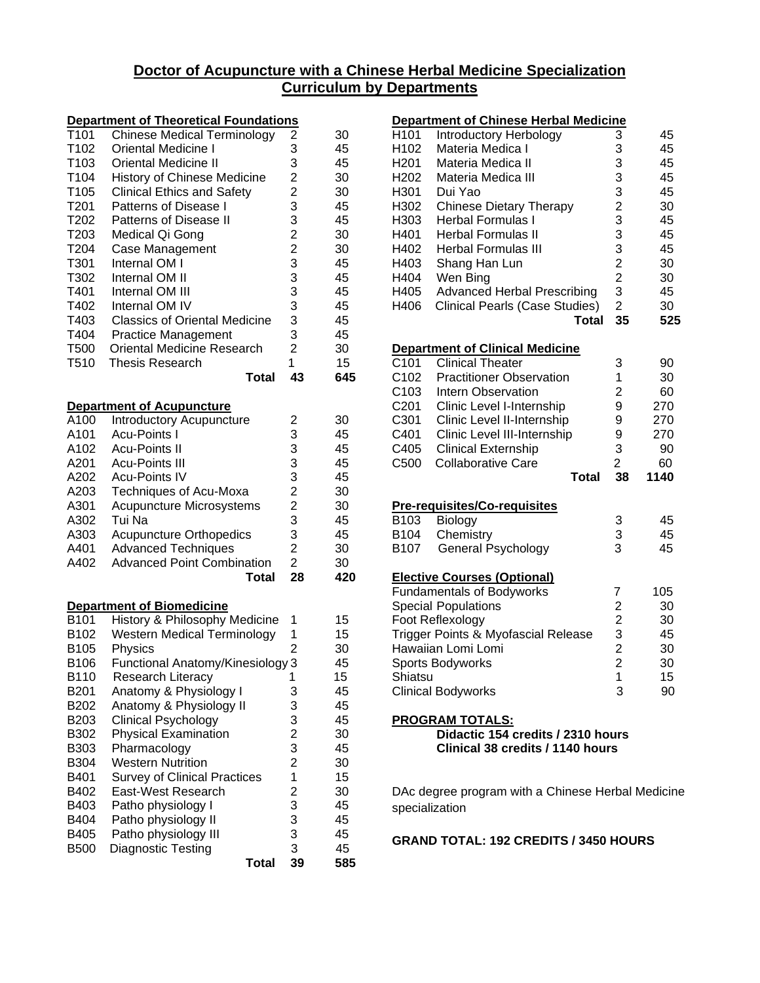## **Doctor of Acupuncture with a Chinese Herbal Medicine Specialization Curriculum by Departments**

|                  | <b>Department of Theoretical Foundations</b> |                                            |     |
|------------------|----------------------------------------------|--------------------------------------------|-----|
| T101             | <b>Chinese Medical Terminology</b>           | $\overline{c}$                             | 30  |
| T102             | <b>Oriental Medicine I</b>                   | 3                                          | 45  |
| T103             | <b>Oriental Medicine II</b>                  | 3                                          | 45  |
| T104             | <b>History of Chinese Medicine</b>           |                                            | 30  |
| T105             | <b>Clinical Ethics and Safety</b>            | $\frac{2}{2}$                              | 30  |
| T <sub>201</sub> | Patterns of Disease I                        | 3                                          | 45  |
| T202             | <b>Patterns of Disease II</b>                | 3                                          | 45  |
| T203             | Medical Qi Gong                              | $\overline{c}$                             | 30  |
| T204             | <b>Case Management</b>                       | $\overline{c}$                             | 30  |
| T301             | Internal OM I                                | 3                                          | 45  |
| T302             | Internal OM II                               | 3                                          | 45  |
| T401             | Internal OM III                              | 3                                          | 45  |
| T402             | Internal OM IV                               | 3                                          | 45  |
| T403             | <b>Classics of Oriental Medicine</b>         | 3                                          | 45  |
| T404             | <b>Practice Management</b>                   | 3                                          | 45  |
| T500             | <b>Oriental Medicine Research</b>            | $\overline{2}$                             | 30  |
| T510             | Thesis Research                              | 1                                          | 15  |
|                  | <b>Total</b>                                 | 43                                         | 645 |
|                  |                                              |                                            |     |
|                  | <b>Department of Acupuncture</b>             |                                            |     |
| A100             | Introductory Acupuncture                     | 2                                          | 30  |
| A101             | <b>Acu-Points I</b>                          | 3                                          | 45  |
| A102             | <b>Acu-Points II</b>                         | 3                                          | 45  |
| A201             | <b>Acu-Points III</b>                        | 3                                          | 45  |
| A202             | <b>Acu-Points IV</b>                         | 3                                          | 45  |
| A203             | Techniques of Acu-Moxa                       | $\overline{c}$                             | 30  |
| A301             | Acupuncture Microsystems                     | $\overline{\mathbf{c}}$                    | 30  |
| A302             | Tui Na                                       | 3                                          | 45  |
| A303             | <b>Acupuncture Orthopedics</b>               | 3                                          | 45  |
| A401             | <b>Advanced Techniques</b>                   | $\overline{c}$                             | 30  |
| A402             | <b>Advanced Point Combination</b>            | $\overline{2}$                             | 30  |
|                  | <b>Total</b>                                 | 28                                         | 420 |
|                  |                                              |                                            |     |
|                  | <b>Department of Biomedicine</b>             |                                            |     |
| B101             | History & Philosophy Medicine                | 1                                          | 15  |
| B102             | <b>Western Medical Terminology</b>           | 1                                          | 15  |
| B105             | Physics                                      | $\overline{2}$                             | 30  |
| B106             | Functional Anatomy/Kinesiology 3             |                                            | 45  |
| B110             | Research Literacy                            | 1                                          | 15  |
| B <sub>201</sub> | Anatomy & Physiology I                       | 3                                          | 45  |
| B202             | Anatomy & Physiology II                      | 3                                          | 45  |
| B203             | <b>Clinical Psychology</b>                   | $\begin{array}{c} 3 \\ 2 \\ 3 \end{array}$ | 45  |
| B302             | <b>Physical Examination</b>                  |                                            | 30  |
| B303             | Pharmacology                                 |                                            | 45  |
| B304             | <b>Western Nutrition</b>                     |                                            | 30  |
| B401             | <b>Survey of Clinical Practices</b>          | $\overline{\mathbf{1}}$                    | 15  |
| B402             | East-West Research                           |                                            | 30  |
| B403             | Patho physiology I                           |                                            | 45  |
| B404             | Patho physiology II                          |                                            | 45  |
| B405             | Patho physiology III                         | $\begin{array}{c}\n23 \\ 33\n\end{array}$  | 45  |
| <b>B500</b>      | Diagnostic Testing                           |                                            | 45  |
|                  | Total                                        | 39                                         | 585 |

|                  | <b>Department of Chinese Herbal Medicine</b>                          |                                                   |      |
|------------------|-----------------------------------------------------------------------|---------------------------------------------------|------|
| H <sub>101</sub> | Introductory Herbology                                                | 3                                                 | 45   |
| H102             | Materia Medica I                                                      | 3                                                 | 45   |
| H <sub>201</sub> | Materia Medica II                                                     | 3                                                 | 45   |
| H <sub>202</sub> | Materia Medica III                                                    |                                                   | 45   |
| H301             | Dui Yao                                                               |                                                   | 45   |
| H302             | <b>Chinese Dietary Therapy</b>                                        |                                                   | 30   |
| H303             | <b>Herbal Formulas I</b>                                              |                                                   | 45   |
| H401             | <b>Herbal Formulas II</b>                                             | $\begin{array}{c}\n3 \\ 3 \\ 2 \\ 3\n\end{array}$ | 45   |
| H402             | <b>Herbal Formulas III</b>                                            |                                                   | 45   |
| H403             | Shang Han Lun                                                         | $\begin{array}{c}\n3 \\ 2 \\ 3\n\end{array}$      | 30   |
| H404             | Wen Bing                                                              |                                                   | 30   |
| H405             | <b>Advanced Herbal Prescribing</b>                                    |                                                   | 45   |
| H406             | Clinical Pearls (Case Studies)                                        | $\overline{2}$                                    | 30   |
|                  | <b>Total</b>                                                          | 35                                                | 525  |
|                  |                                                                       |                                                   |      |
|                  | <b>Department of Clinical Medicine</b>                                |                                                   |      |
| C101             | <b>Clinical Theater</b>                                               | 3                                                 | 90   |
| C102             | <b>Practitioner Observation</b>                                       | 1                                                 | 30   |
| C103             | <b>Intern Observation</b>                                             | 2                                                 | 60   |
| C201             | Clinic Level I-Internship                                             | 9                                                 | 270  |
| C301             | Clinic Level II-Internship                                            | 9                                                 | 270  |
| C401             | Clinic Level III-Internship                                           | 9                                                 | 270  |
| C405             | <b>Clinical Externship</b>                                            | 3                                                 | 90   |
|                  |                                                                       |                                                   |      |
| C500             | <b>Collaborative Care</b>                                             | $\overline{2}$                                    | 60   |
|                  | Total                                                                 | 38                                                | 1140 |
|                  |                                                                       |                                                   |      |
|                  | <b>Pre-requisites/Co-requisites</b>                                   |                                                   |      |
| B103             | Biology                                                               |                                                   | 45   |
| B104             | Chemistry                                                             |                                                   | 45   |
| B107             | General Psychology                                                    | $\begin{array}{c} 3 \\ 3 \\ 3 \end{array}$        | 45   |
|                  | <b>Elective Courses (Optional)</b>                                    |                                                   |      |
|                  | <b>Fundamentals of Bodyworks</b>                                      | 7                                                 | 105  |
|                  | <b>Special Populations</b>                                            |                                                   | 30   |
|                  | Foot Reflexology                                                      |                                                   | 30   |
|                  | Trigger Points & Myofascial Release                                   |                                                   | 45   |
|                  | Hawaiian Lomi Lomi                                                    | $\begin{array}{c}\n2 \\ 2 \\ 3 \\ 2\n\end{array}$ | 30   |
|                  | <b>Sports Bodyworks</b>                                               | $\overline{\mathbf{c}}$                           | 30   |
| Shiatsu          |                                                                       | 1                                                 | 15   |
|                  | <b>Clinical Bodyworks</b>                                             | 3                                                 | 90   |
|                  |                                                                       |                                                   |      |
|                  | <b>PROGRAM TOTALS:</b>                                                |                                                   |      |
|                  | Didactic 154 credits / 2310 hours<br>Clinical 38 credits / 1140 hours |                                                   |      |
|                  |                                                                       |                                                   |      |

DAc degree program with a Chinese Herbal Medicine specialization

**GRAND TOTAL: 192 CREDITS / 3450 HOURS**